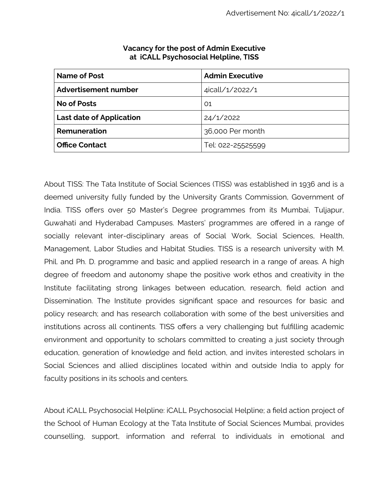| Name of Post                    | <b>Admin Executive</b> |
|---------------------------------|------------------------|
| Advertisement number            | 4icall/1/2022/1        |
| <b>No of Posts</b>              | 01                     |
| <b>Last date of Application</b> | 24/1/2022              |
| Remuneration                    | 36,000 Per month       |
| <b>Office Contact</b>           | Tel: 022-25525599      |

#### **Vacancy for the post of Admin Executive at iCALL Psychosocial Helpline, TISS**

About TISS: The Tata Institute of Social Sciences (TISS) was established in 1936 and is a deemed university fully funded by the University Grants Commission, Government of India. TISS offers over 50 Master's Degree programmes from its Mumbai, Tuljapur, Guwahati and Hyderabad Campuses. Masters' programmes are offered in a range of socially relevant inter-disciplinary areas of Social Work, Social Sciences, Health, Management, Labor Studies and Habitat Studies. TISS is a research university with M. Phil. and Ph. D. programme and basic and applied research in a range of areas. A high degree of freedom and autonomy shape the positive work ethos and creativity in the Institute facilitating strong linkages between education, research, field action and Dissemination. The Institute provides significant space and resources for basic and policy research; and has research collaboration with some of the best universities and institutions across all continents. TISS offers a very challenging but fulfilling academic environment and opportunity to scholars committed to creating a just society through education, generation of knowledge and field action, and invites interested scholars in Social Sciences and allied disciplines located within and outside India to apply for faculty positions in its schools and centers.

About iCALL Psychosocial Helpline: iCALL Psychosocial Helpline; a field action project of the School of Human Ecology at the Tata Institute of Social Sciences Mumbai, provides counselling, support, information and referral to individuals in emotional and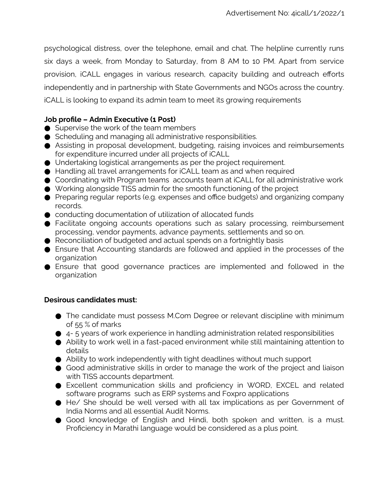psychological distress, over the telephone, email and chat. The helpline currently runs six days a week, from Monday to Saturday, from 8 AM to 10 PM. Apart from service provision, iCALL engages in various research, capacity building and outreach efforts independently and in partnership with State Governments and NGOs across the country. iCALL is looking to expand its admin team to meet its growing requirements

## **Job profile – Admin Executive (1 Post)**

- Supervise the work of the team members
- Scheduling and managing all administrative responsibilities.
- Assisting in proposal development, budgeting, raising invoices and reimbursements for expenditure incurred under all projects of iCALL
- Undertaking logistical arrangements as per the project requirement.
- Handling all travel arrangements for iCALL team as and when required
- Coordinating with Program teams accounts team at iCALL for all administrative work
- Working alongside TISS admin for the smooth functioning of the project
- Preparing regular reports (e.g. expenses and office budgets) and organizing company records.
- conducting documentation of utilization of allocated funds
- Facilitate ongoing accounts operations such as salary processing, reimbursement processing, vendor payments, advance payments, settlements and so on.
- Reconciliation of budgeted and actual spends on a fortnightly basis
- Ensure that Accounting standards are followed and applied in the processes of the organization
- Ensure that good governance practices are implemented and followed in the organization

# **Desirous candidates must:**

- The candidate must possess M.Com Degree or relevant discipline with minimum of 55 % of marks
- $\bullet$  4-5 years of work experience in handling administration related responsibilities
- Ability to work well in a fast-paced environment while still maintaining attention to details
- Ability to work independently with tight deadlines without much support
- Good administrative skills in order to manage the work of the project and liaison with TISS accounts department.
- Excellent communication skills and proficiency in WORD, EXCEL and related software programs such as ERP systems and Foxpro applications
- He/ She should be well versed with all tax implications as per Government of India Norms and all essential Audit Norms.
- Good knowledge of English and Hindi, both spoken and written, is a must. Proficiency in Marathi language would be considered as a plus point.